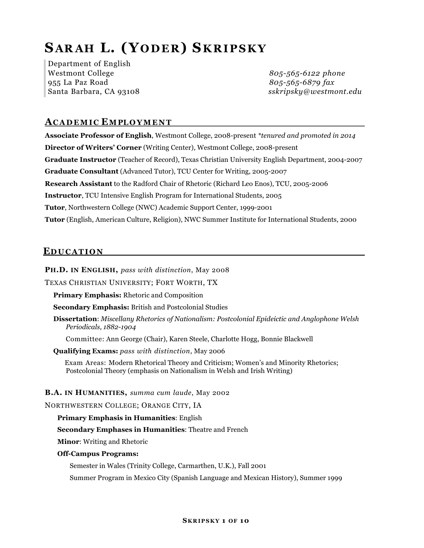# **S AR AH L. (Y ODER ) S KRIPSKY**

Department of English Westmont College *805-565-6122 phone* 955 La Paz Road *805-565-6879 fax*

Santa Barbara, CA 93108 *sskripsky@westmont.edu*

# **A CADEMI C E M PLOYMEN T**

**Associate Professor of English**, Westmont College, 2008-present *\*tenured and promoted in 2014* **Director of Writers' Corner** (Writing Center), Westmont College, 2008-present **Graduate Instructor** (Teacher of Record), Texas Christian University English Department, 2004-2007 **Graduate Consultant** (Advanced Tutor), TCU Center for Writing, 2005-2007 **Research Assistant** to the Radford Chair of Rhetoric (Richard Leo Enos), TCU, 2005-2006 **Instructor**, TCU Intensive English Program for International Students, 2005 **Tutor**, Northwestern College (NWC) Academic Support Center, 1999-2001 **Tutor** (English, American Culture, Religion), NWC Summer Institute for International Students, 2000

# **E DUCATIO N**

**PH.D. IN ENGLISH,** *pass with distinction*, May 2008

TEXAS CHRISTIAN UNIVERSITY; FORT WORTH, TX

**Primary Emphasis:** Rhetoric and Composition

**Secondary Emphasis:** British and Postcolonial Studies

**Dissertation**: *Miscellany Rhetorics of Nationalism: Postcolonial Epideictic and Anglophone Welsh Periodicals, 1882-1904*

Committee: Ann George (Chair), Karen Steele, Charlotte Hogg, Bonnie Blackwell

**Qualifying Exams:** *pass with distinction*, May 2006

Exam Areas: Modern Rhetorical Theory and Criticism; Women's and Minority Rhetorics; Postcolonial Theory (emphasis on Nationalism in Welsh and Irish Writing)

### **B.A. IN HUMANITIES,** *summa cum laude*, May 2002

NORTHWESTERN COLLEGE; ORANGE CITY, IA

#### **Primary Emphasis in Humanities**: English

#### **Secondary Emphases in Humanities**: Theatre and French

**Minor**: Writing and Rhetoric

#### **Off-Campus Programs:**

Semester in Wales (Trinity College, Carmarthen, U.K.), Fall 2001

Summer Program in Mexico City (Spanish Language and Mexican History), Summer 1999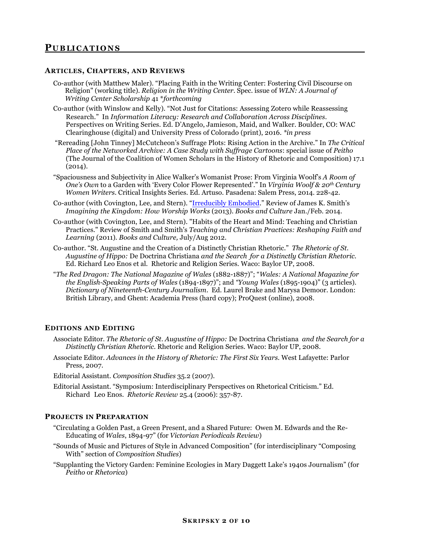#### **ARTICLES, CHAPTERS, AND REVIEWS**

- Co-author (with Matthew Maler). "Placing Faith in the Writing Center: Fostering Civil Discourse on Religion" (working title). *Religion in the Writing Center.* Spec. issue of *WLN: A Journal of Writing Center Scholarship* 41 \**forthcoming*
- Co-author (with Winslow and Kelly). "Not Just for Citations: Assessing Zotero while Reassessing Research." In *Information Literacy: Research and Collaboration Across Disciplines*. Perspectives on Writing Series. Ed. D'Angelo, Jamieson, Maid, and Walker. Boulder, CO: WAC Clearinghouse (digital) and University Press of Colorado (print), 2016. *\*in press*
- "Rereading [John Tinney] McCutcheon's Suffrage Plots: Rising Action in the Archive." In *The Critical Place of the Networked Archive: A Case Study with Suffrage Cartoons*: special issue of *Peitho* (The Journal of the Coalition of Women Scholars in the History of Rhetoric and Composition) 17.1  $(2014).$
- "Spaciousness and Subjectivity in Alice Walker's Womanist Prose: From Virginia Woolf's *A Room of One's Own* to a Garden with 'Every Color Flower Represented'." In *Virginia Woolf & 20th Century Women Writers.* Critical Insights Series. Ed. Artuso. Pasadena: Salem Press, 2014. 228-42.
- Co-author (with Covington, Lee, and Stern). "Irreducibly Embodied." Review of James K. Smith's *Imagining the Kingdom: How Worship Works* (2013)*. Books and Culture* Jan./Feb. 2014.
- Co-author (with Covington, Lee, and Stern). "Habits of the Heart and Mind: Teaching and Christian Practices." Review of Smith and Smith's *Teaching and Christian Practices: Reshaping Faith and Learning* (2011)*. Books and Culture,* July/Aug 2012.
- Co-author. "St. Augustine and the Creation of a Distinctly Christian Rhetoric." *The Rhetoric of St. Augustine of Hippo:* De Doctrina Christiana *and the Search for a Distinctly Christian Rhetoric.*  Ed. Richard Leo Enos et al. Rhetoric and Religion Series. Waco: Baylor UP, 2008.
- "*The Red Dragon: The National Magazine of Wales* (1882-1887)"; "*Wales: A National Magazine for the English-Speaking Parts of Wales* (1894-1897)"; and *"Young Wales* (1895-1904)" (3 articles). *Dictionary of Nineteenth-Century Journalism*. Ed. Laurel Brake and Marysa Demoor. London: British Library, and Ghent: Academia Press (hard copy); ProQuest (online), 2008.

#### **EDITIONS AND EDITING**

- Associate Editor. *The Rhetoric of St. Augustine of Hippo:* De Doctrina Christiana *and the Search for a Distinctly Christian Rhetoric.* Rhetoric and Religion Series. Waco: Baylor UP, 2008.
- Associate Editor. *Advances in the History of Rhetoric: The First Six Years.* West Lafayette: Parlor Press, 2007.
- Editorial Assistant. *Composition Studies* 35.2 (2007).
- Editorial Assistant. "Symposium: Interdisciplinary Perspectives on Rhetorical Criticism." Ed. Richard Leo Enos. *Rhetoric Review* 25.4 (2006): 357-87.

#### **PROJECTS IN PREPARATION**

- "Circulating a Golden Past, a Green Present, and a Shared Future: Owen M. Edwards and the Re-Educating of *Wales*, 1894-97" (for *Victorian Periodicals Review*)
- "Sounds of Music and Pictures of Style in Advanced Composition" (for interdisciplinary "Composing With" section of *Composition Studies*)
- "Supplanting the Victory Garden: Feminine Ecologies in Mary Daggett Lake's 1940s Journalism" (for *Peitho* or *Rhetorica*)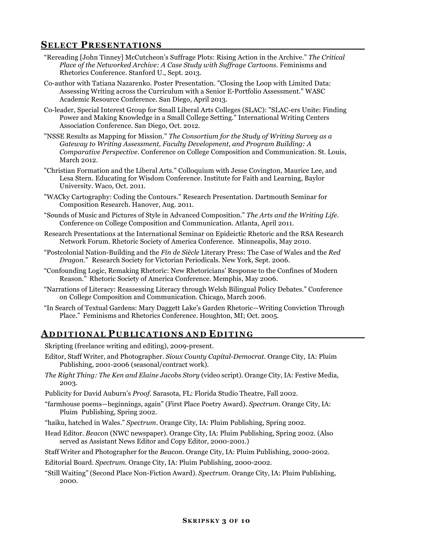# **SELECT PRESENTATIONS**

- "Rereading [John Tinney] McCutcheon's Suffrage Plots: Rising Action in the Archive." *The Critical Place of the Networked Archive: A Case Study with Suffrage Cartoons.* Feminisms and Rhetorics Conference. Stanford U., Sept. 2013.
- Co-author with Tatiana Nazarenko. Poster Presentation. "Closing the Loop with Limited Data: Assessing Writing across the Curriculum with a Senior E-Portfolio Assessment." WASC Academic Resource Conference. San Diego, April 2013.
- Co-leader, Special Interest Group for Small Liberal Arts Colleges (SLAC): "SLAC-ers Unite: Finding Power and Making Knowledge in a Small College Setting." International Writing Centers Association Conference. San Diego, Oct. 2012.
- "NSSE Results as Mapping for Mission." *The Consortium for the Study of Writing Survey as a Gateway to Writing Assessment, Faculty Development, and Program Building: A Comparative Perspective.* Conference on College Composition and Communication. St. Louis, March 2012.
- "Christian Formation and the Liberal Arts." Colloquium with Jesse Covington, Maurice Lee, and Lesa Stern. Educating for Wisdom Conference. Institute for Faith and Learning, Baylor University. Waco, Oct. 2011.
- "WACky Cartography: Coding the Contours." Research Presentation. Dartmouth Seminar for Composition Research. Hanover, Aug. 2011.
- "Sounds of Music and Pictures of Style in Advanced Composition." *The Arts and the Writing Life.* Conference on College Composition and Communication. Atlanta, April 2011.
- Research Presentations at the International Seminar on Epideictic Rhetoric and the RSA Research Network Forum. Rhetoric Society of America Conference. Minneapolis, May 2010.
- "Postcolonial Nation-Building and the *Fin de Siècle* Literary Press: The Case of Wales and the *Red Dragon*." Research Society for Victorian Periodicals. New York, Sept. 2006.
- "Confounding Logic, Remaking Rhetoric: New Rhetoricians' Response to the Confines of Modern Reason." Rhetoric Society of America Conference. Memphis, May 2006.
- "Narrations of Literacy: Reassessing Literacy through Welsh Bilingual Policy Debates." Conference on College Composition and Communication. Chicago, March 2006.
- "In Search of Textual Gardens: Mary Daggett Lake's Garden Rhetoric—Writing Conviction Through Place." Feminisms and Rhetorics Conference. Houghton, MI; Oct. 2005.

# **A DDITIONA L P U B LICATION S A N D E DITIN G**

Skripting (freelance writing and editing), 2009-present.

- Editor, Staff Writer, and Photographer. *Sioux County Capital-Democrat.* Orange City, IA: Pluim Publishing, 2001-2006 (seasonal/contract work).
- *The Right Thing: The Ken and Elaine Jacobs Story* (video script). Orange City, IA: Festive Media, 2003.
- Publicity for David Auburn's *Proof*. Sarasota, FL: Florida Studio Theatre, Fall 2002.
- "farmhouse poems—beginnings, again" (First Place Poetry Award). *Spectrum.* Orange City, IA: Pluim Publishing, Spring 2002.
- "haiku, hatched in Wales." *Spectrum*. Orange City, IA: Pluim Publishing, Spring 2002.
- Head Editor. *Beacon* (NWC newspaper)*.* Orange City, IA: Pluim Publishing, Spring 2002. (Also served as Assistant News Editor and Copy Editor, 2000-2001.)
- Staff Writer and Photographer for the *Beacon.* Orange City, IA: Pluim Publishing, 2000-2002.
- Editorial Board. *Spectrum.* Orange City, IA: Pluim Publishing, 2000-2002.
- "Still Waiting" (Second Place Non-Fiction Award). *Spectrum.* Orange City, IA: Pluim Publishing, 2000.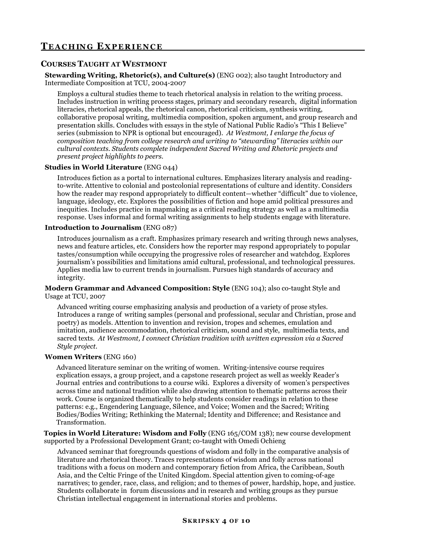# **T EACH IN G E XPERIENC E**

# **COURSES TAUGHT AT WESTMONT**

#### **Stewarding Writing, Rhetoric(s), and Culture(s)** (ENG 002); also taught Introductory and Intermediate Composition at TCU, 2004-2007

Employs a cultural studies theme to teach rhetorical analysis in relation to the writing process. Includes instruction in writing process stages, primary and secondary research, digital information literacies, rhetorical appeals, the rhetorical canon, rhetorical criticism, synthesis writing, collaborative proposal writing, multimedia composition, spoken argument, and group research and presentation skills. Concludes with essays in the style of National Public Radio's "This I Believe" series (submission to NPR is optional but encouraged). *At Westmont, I enlarge the focus of composition teaching from college research and writing to "stewarding" literacies within our cultural contexts. Students complete independent Sacred Writing and Rhetoric projects and present project highlights to peers.*

#### **Studies in World Literature** (ENG 044)

Introduces fiction as a portal to international cultures. Emphasizes literary analysis and readingto-write. Attentive to colonial and postcolonial representations of culture and identity. Considers how the reader may respond appropriately to difficult content—whether "difficult" due to violence, language, ideology, etc. Explores the possibilities of fiction and hope amid political pressures and inequities. Includes practice in mapmaking as a critical reading strategy as well as a multimedia response. Uses informal and formal writing assignments to help students engage with literature.

#### **Introduction to Journalism** (ENG 087)

Introduces journalism as a craft. Emphasizes primary research and writing through news analyses, news and feature articles, etc. Considers how the reporter may respond appropriately to popular tastes/consumption while occupying the progressive roles of researcher and watchdog. Explores journalism's possibilities and limitations amid cultural, professional, and technological pressures. Applies media law to current trends in journalism. Pursues high standards of accuracy and integrity.

**Modern Grammar and Advanced Composition: Style** (ENG 104); also co-taught Style and Usage at TCU, 2007

Advanced writing course emphasizing analysis and production of a variety of prose styles. Introduces a range of writing samples (personal and professional, secular and Christian, prose and poetry) as models. Attention to invention and revision, tropes and schemes, emulation and imitation, audience accommodation, rhetorical criticism, sound and style, multimedia texts, and sacred texts. *At Westmont, I connect Christian tradition with written expression via a Sacred Style project.*

#### **Women Writers** (ENG 160)

Advanced literature seminar on the writing of women. Writing-intensive course requires explication essays, a group project, and a capstone research project as well as weekly Reader's Journal entries and contributions to a course wiki. Explores a diversity of women's perspectives across time and national tradition while also drawing attention to thematic patterns across their work. Course is organized thematically to help students consider readings in relation to these patterns: e.g., Engendering Language, Silence, and Voice; Women and the Sacred; Writing Bodies/Bodies Writing; Rethinking the Maternal; Identity and Difference; and Resistance and Transformation.

**Topics in World Literature: Wisdom and Folly** (ENG 165/COM 138); new course development supported by a Professional Development Grant; co-taught with Omedi Ochieng

Advanced seminar that foregrounds questions of wisdom and folly in the comparative analysis of literature and rhetorical theory. Traces representations of wisdom and folly across national traditions with a focus on modern and contemporary fiction from Africa, the Caribbean, South Asia, and the Celtic Fringe of the United Kingdom. Special attention given to coming-of-age narratives; to gender, race, class, and religion; and to themes of power, hardship, hope, and justice. Students collaborate in forum discussions and in research and writing groups as they pursue Christian intellectual engagement in international stories and problems.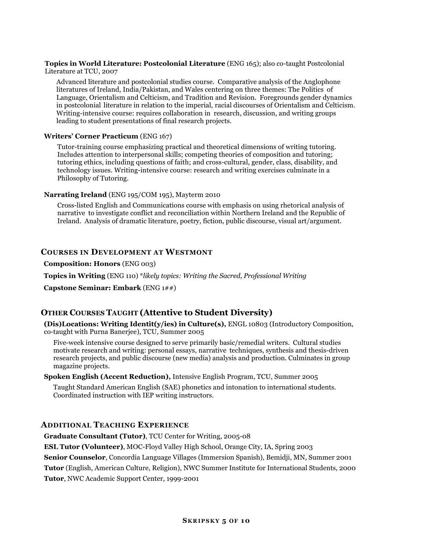#### **Topics in World Literature: Postcolonial Literature** (ENG 165); also co-taught Postcolonial Literature at TCU, 2007

Advanced literature and postcolonial studies course. Comparative analysis of the Anglophone literatures of Ireland, India/Pakistan, and Wales centering on three themes: The Politics of Language, Orientalism and Celticism, and Tradition and Revision. Foregrounds gender dynamics in postcolonial literature in relation to the imperial, racial discourses of Orientalism and Celticism. Writing-intensive course: requires collaboration in research, discussion, and writing groups leading to student presentations of final research projects.

#### **Writers' Corner Practicum** (ENG 167)

Tutor-training course emphasizing practical and theoretical dimensions of writing tutoring. Includes attention to interpersonal skills; competing theories of composition and tutoring; tutoring ethics, including questions of faith; and cross-cultural, gender, class, disability, and technology issues. Writing-intensive course: research and writing exercises culminate in a Philosophy of Tutoring.

#### **Narrating Ireland** (ENG 195/COM 195), Mayterm 2010

Cross-listed English and Communications course with emphasis on using rhetorical analysis of narrative to investigate conflict and reconciliation within Northern Ireland and the Republic of Ireland. Analysis of dramatic literature, poetry, fiction, public discourse, visual art/argument.

### **COURSES IN DEVELOPMENT AT WESTMONT**

**Composition: Honors** (ENG 003)

**Topics in Writing** (ENG 110) \**likely topics: Writing the Sacred, Professional Writing* 

**Capstone Seminar: Embark** (ENG 1##)

# **OTHER COURSES TAUGHT (Attentive to Student Diversity)**

**(Dis)Locations: Writing Identit(y/ies) in Culture(s),** ENGL 10803 (Introductory Composition, co-taught with Purna Banerjee), TCU, Summer 2005

Five-week intensive course designed to serve primarily basic/remedial writers. Cultural studies motivate research and writing: personal essays, narrative techniques, synthesis and thesis-driven research projects, and public discourse (new media) analysis and production. Culminates in group magazine projects.

**Spoken English (Accent Reduction),** Intensive English Program, TCU, Summer 2005

Taught Standard American English (SAE) phonetics and intonation to international students. Coordinated instruction with IEP writing instructors.

### **ADDITIONAL TEACHING EXPERIENCE**

**Graduate Consultant (Tutor)**, TCU Center for Writing, 2005-08

**ESL Tutor (Volunteer)**, MOC-Floyd Valley High School, Orange City, IA, Spring 2003

**Senior Counselor**, Concordia Language Villages (Immersion Spanish), Bemidji, MN, Summer 2001

**Tutor** (English, American Culture, Religion), NWC Summer Institute for International Students, 2000 **Tutor**, NWC Academic Support Center, 1999-2001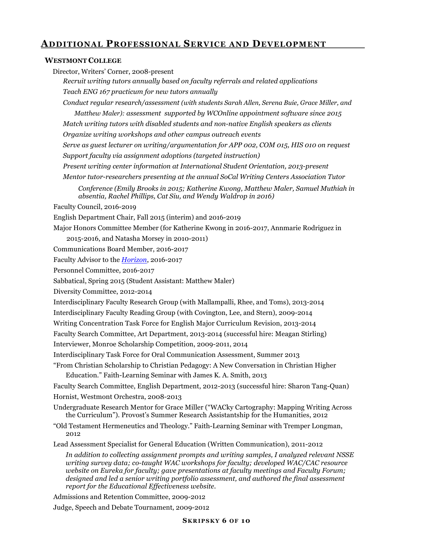# **ADDITIONAL PROFESSIONAL SERVICE AND DEVELOPMENT**

#### **WESTMONT COLLEGE**

Director, Writers' Corner, 2008-present

*Recruit writing tutors annually based on faculty referrals and related applications Teach ENG 167 practicum for new tutors annually* 

*Conduct regular research/assessment (with students Sarah Allen, Serena Buie, Grace Miller, and Matthew Maler): assessment supported by WCOnline appointment software since 2015*

*Match writing tutors with disabled students and non-native English speakers as clients Organize writing workshops and other campus outreach events* 

*Serve as guest lecturer on writing/argumentation for APP 002, COM 015, HIS 010 on request Support faculty via assignment adoptions (targeted instruction)* 

*Present writing center information at International Student Orientation, 2013-present Mentor tutor-researchers presenting at the annual SoCal Writing Centers Association Tutor*

*Conference (Emily Brooks in 2015; Katherine Kwong, Matthew Maler, Samuel Muthiah in absentia, Rachel Phillips, Cat Siu, and Wendy Waldrop in 2016)* 

Faculty Council, 2016-2019

English Department Chair, Fall 2015 (interim) and 2016-2019

Major Honors Committee Member (for Katherine Kwong in 2016-2017, Annmarie Rodriguez in

2015-2016, and Natasha Morsey in 2010-2011)

Communications Board Member, 2016-2017

Faculty Advisor to the *Horizon*, 2016-2017

Personnel Committee, 2016-2017

Sabbatical, Spring 2015 (Student Assistant: Matthew Maler)

Diversity Committee, 2012-2014

Interdisciplinary Faculty Research Group (with Mallampalli, Rhee, and Toms), 2013-2014

Interdisciplinary Faculty Reading Group (with Covington, Lee, and Stern), 2009-2014

Writing Concentration Task Force for English Major Curriculum Revision, 2013-2014

Faculty Search Committee, Art Department, 2013-2014 (successful hire: Meagan Stirling)

Interviewer, Monroe Scholarship Competition, 2009-2011, 2014

Interdisciplinary Task Force for Oral Communication Assessment, Summer 2013

"From Christian Scholarship to Christian Pedagogy: A New Conversation in Christian Higher Education." Faith-Learning Seminar with James K. A. Smith, 2013

Faculty Search Committee, English Department, 2012-2013 (successful hire: Sharon Tang-Quan) Hornist, Westmont Orchestra, 2008-2013

Undergraduate Research Mentor for Grace Miller ("WACky Cartography: Mapping Writing Across the Curriculum"). Provost's Summer Research Assistantship for the Humanities, 2012

"Old Testament Hermeneutics and Theology." Faith-Learning Seminar with Tremper Longman, 2012

Lead Assessment Specialist for General Education (Written Communication), 2011-2012

*In addition to collecting assignment prompts and writing samples, I analyzed relevant NSSE writing survey data; co-taught WAC workshops for faculty; developed WAC/CAC resource website on Eureka for faculty; gave presentations at faculty meetings and Faculty Forum; designed and led a senior writing portfolio assessment, and authored the final assessment report for the Educational Effectiveness website.* 

Admissions and Retention Committee, 2009-2012

Judge, Speech and Debate Tournament, 2009-2012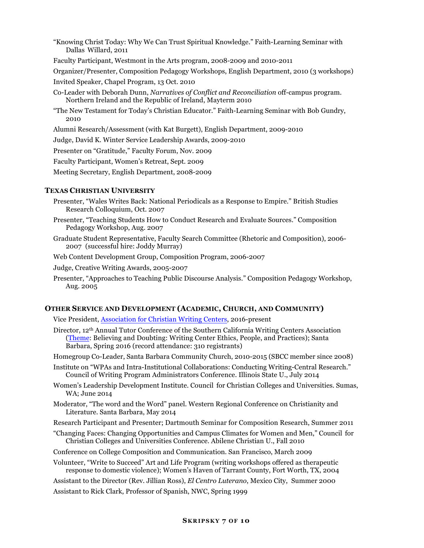"Knowing Christ Today: Why We Can Trust Spiritual Knowledge." Faith-Learning Seminar with Dallas Willard, 2011

Faculty Participant, Westmont in the Arts program, 2008-2009 and 2010-2011

Organizer/Presenter, Composition Pedagogy Workshops, English Department, 2010 (3 workshops)

Invited Speaker, Chapel Program, 13 Oct. 2010

- Co-Leader with Deborah Dunn, *Narratives of Conflict and Reconciliation* off-campus program. Northern Ireland and the Republic of Ireland, Mayterm 2010
- "The New Testament for Today's Christian Educator." Faith-Learning Seminar with Bob Gundry, 2010

Alumni Research/Assessment (with Kat Burgett), English Department, 2009-2010

Judge, David K. Winter Service Leadership Awards, 2009-2010

Presenter on "Gratitude," Faculty Forum, Nov. 2009

Faculty Participant, Women's Retreat, Sept. 2009

Meeting Secretary, English Department, 2008-2009

#### **TEXAS CHRISTIAN UNIVERSITY**

Presenter, "Wales Writes Back: National Periodicals as a Response to Empire." British Studies Research Colloquium, Oct. 2007

- Presenter, "Teaching Students How to Conduct Research and Evaluate Sources." Composition Pedagogy Workshop, Aug. 2007
- Graduate Student Representative, Faculty Search Committee (Rhetoric and Composition), 2006- 2007 (successful hire: Joddy Murray)

Web Content Development Group, Composition Program, 2006-2007

Judge, Creative Writing Awards, 2005-2007

Presenter, "Approaches to Teaching Public Discourse Analysis." Composition Pedagogy Workshop, Aug. 2005

#### **OTHER SERVICE AND DEVELOPMENT (ACADEMIC, CHURCH, AND COMMUNITY)**

Vice President, Association for Christian Writing Centers, 2016-present

Director, 12th Annual Tutor Conference of the Southern California Writing Centers Association (Theme: Believing and Doubting: Writing Center Ethics, People, and Practices); Santa Barbara, Spring 2016 (record attendance: 310 registrants)

Homegroup Co-Leader, Santa Barbara Community Church, 2010-2015 (SBCC member since 2008)

- Institute on "WPAs and Intra-Institutional Collaborations: Conducting Writing-Central Research." Council of Writing Program Administrators Conference. Illinois State U., July 2014
- Women's Leadership Development Institute. Council for Christian Colleges and Universities. Sumas, WA; June 2014
- Moderator, "The word and the Word" panel. Western Regional Conference on Christianity and Literature. Santa Barbara, May 2014
- Research Participant and Presenter; Dartmouth Seminar for Composition Research, Summer 2011
- "Changing Faces: Changing Opportunities and Campus Climates for Women and Men," Council for Christian Colleges and Universities Conference. Abilene Christian U., Fall 2010

Conference on College Composition and Communication. San Francisco, March 2009

- Volunteer, "Write to Succeed" Art and Life Program (writing workshops offered as therapeutic response to domestic violence); Women's Haven of Tarrant County, Fort Worth, TX, 2004
- Assistant to the Director (Rev. Jillian Ross), *El Centro Luterano*, Mexico City, Summer 2000

Assistant to Rick Clark, Professor of Spanish, NWC, Spring 1999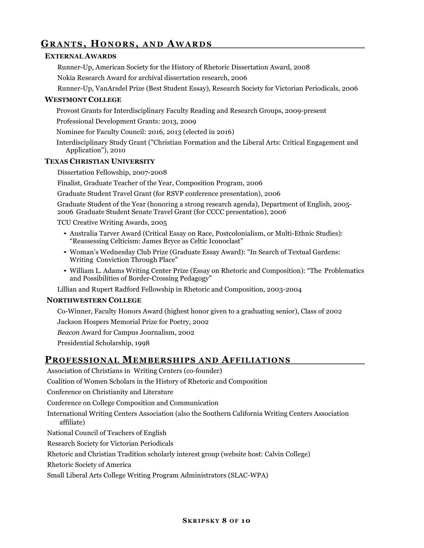# **GRANTS, HONORS, AND AWARDS**

### **EXTERNAL AWARDS**

Runner-Up, American Society for the History of Rhetoric Dissertation Award, 2008

Nokia Research Award for archival dissertation research, 2006

Runner-Up, VanArsdel Prize (Best Student Essay), Research Society for Victorian Periodicals, 2006

### **WESTMONT COLLEGE**

Provost Grants for Interdisciplinary Faculty Reading and Research Groups, 2009-present

Professional Development Grants: 2013, 2009

Nominee for Faculty Council: 2016, 2013 (elected in 2016)

Interdisciplinary Study Grant ("Christian Formation and the Liberal Arts: Critical Engagement and Application"), 2010

#### **TEXAS CHRISTIAN UNIVERSITY**

Dissertation Fellowship, 2007-2008

Finalist, Graduate Teacher of the Year, Composition Program, 2006

Graduate Student Travel Grant (for RSVP conference presentation), 2006

Graduate Student of the Year (honoring a strong research agenda), Department of English, 2005- 2006 Graduate Student Senate Travel Grant (for CCCC presentation), 2006

TCU Creative Writing Awards, 2005

- Australia Tarver Award (Critical Essay on Race, Postcolonialism, or Multi-Ethnic Studies): "Reassessing Celticism: James Bryce as Celtic Iconoclast"
- Woman's Wednesday Club Prize (Graduate Essay Award): "In Search of Textual Gardens: Writing Conviction Through Place"
- William L. Adams Writing Center Prize (Essay on Rhetoric and Composition): "The Problematics and Possibilities of Border-Crossing Pedagogy"

Lillian and Rupert Radford Fellowship in Rhetoric and Composition, 2003-2004

#### **NORTHWESTERN COLLEGE**

Co-Winner, Faculty Honors Award (highest honor given to a graduating senior), Class of 2002

Jackson Hospers Memorial Prize for Poetry, 2002

*Beacon* Award for Campus Journalism, 2002

Presidential Scholarship, 1998

# **PROFESSIONAL MEMBERSHIPS AND AFFILIATIONS**

Association of Christians in Writing Centers (co-founder)

Coalition of Women Scholars in the History of Rhetoric and Composition

Conference on Christianity and Literature

Conference on College Composition and Communication

International Writing Centers Association (also the Southern California Writing Centers Association affiliate)

National Council of Teachers of English

Research Society for Victorian Periodicals

Rhetoric and Christian Tradition scholarly interest group (website host: Calvin College)

Rhetoric Society of America

Small Liberal Arts College Writing Program Administrators (SLAC-WPA)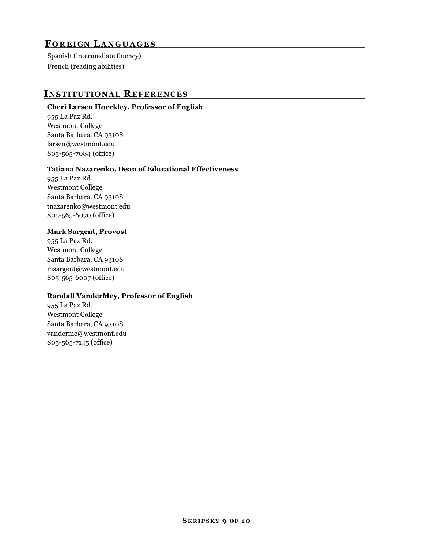# *LANGUAGES*

Spanish (intermediate fluency) French (reading abilities)

# **INSTITUTIONAL REFERENCES**

### **Cheri Larsen Hoeckley, Professor of English**

955 La Paz Rd. Westmont College Santa Barbara, CA 93108 larsen@westmont.edu 805-565-7084 (office)

### **Tatiana Nazarenko, Dean of Educational Effectiveness**

955 La Paz Rd. Westmont College Santa Barbara, CA 93108 tnazarenko@westmont.edu 805-565-6070 (office)

### **Mark Sargent, Provost**

955 La Paz Rd. Westmont College Santa Barbara, CA 93108 msargent@westmont.edu 805-565-6007 (office)

#### **Randall VanderMey, Professor of English**

955 La Paz Rd. Westmont College Santa Barbara, CA 93108 vanderme@westmont.edu 805-565-7145 (office)